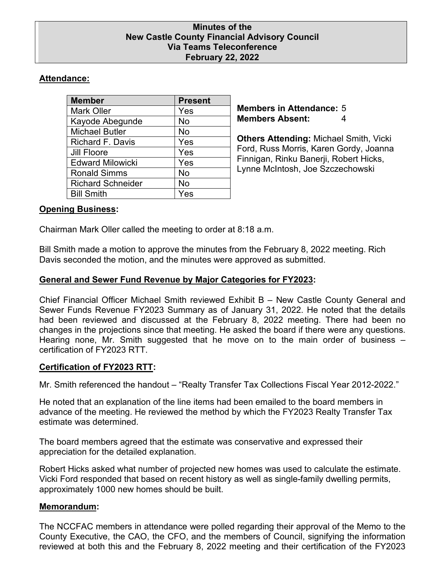### **Minutes of the New Castle County Financial Advisory Council Via Teams Teleconference February 22, 2022**

# **Attendance:**

| <b>Member</b>            | <b>Present</b> |
|--------------------------|----------------|
| <b>Mark Oller</b>        | Yes            |
| Kayode Abegunde          | No             |
| <b>Michael Butler</b>    | No             |
| Richard F. Davis         | Yes            |
| <b>Jill Floore</b>       | Yes            |
| <b>Edward Milowicki</b>  | Yes            |
| <b>Ronald Simms</b>      | No             |
| <b>Richard Schneider</b> | No             |
| <b>Bill Smith</b>        | Yes            |

**Members in Attendance:** 5 **Members Absent:** 4

**Others Attending:** Michael Smith, Vicki Ford, Russ Morris, Karen Gordy, Joanna Finnigan, Rinku Banerji, Robert Hicks, Lynne McIntosh, Joe Szczechowski

## **Opening Business:**

Chairman Mark Oller called the meeting to order at 8:18 a.m.

Bill Smith made a motion to approve the minutes from the February 8, 2022 meeting. Rich Davis seconded the motion, and the minutes were approved as submitted.

## **General and Sewer Fund Revenue by Major Categories for FY2023:**

Chief Financial Officer Michael Smith reviewed Exhibit B – New Castle County General and Sewer Funds Revenue FY2023 Summary as of January 31, 2022. He noted that the details had been reviewed and discussed at the February 8, 2022 meeting. There had been no changes in the projections since that meeting. He asked the board if there were any questions. Hearing none, Mr. Smith suggested that he move on to the main order of business – certification of FY2023 RTT.

## **Certification of FY2023 RTT:**

Mr. Smith referenced the handout – "Realty Transfer Tax Collections Fiscal Year 2012-2022."

He noted that an explanation of the line items had been emailed to the board members in advance of the meeting. He reviewed the method by which the FY2023 Realty Transfer Tax estimate was determined.

The board members agreed that the estimate was conservative and expressed their appreciation for the detailed explanation.

Robert Hicks asked what number of projected new homes was used to calculate the estimate. Vicki Ford responded that based on recent history as well as single-family dwelling permits, approximately 1000 new homes should be built.

## **Memorandum:**

The NCCFAC members in attendance were polled regarding their approval of the Memo to the County Executive, the CAO, the CFO, and the members of Council, signifying the information reviewed at both this and the February 8, 2022 meeting and their certification of the FY2023